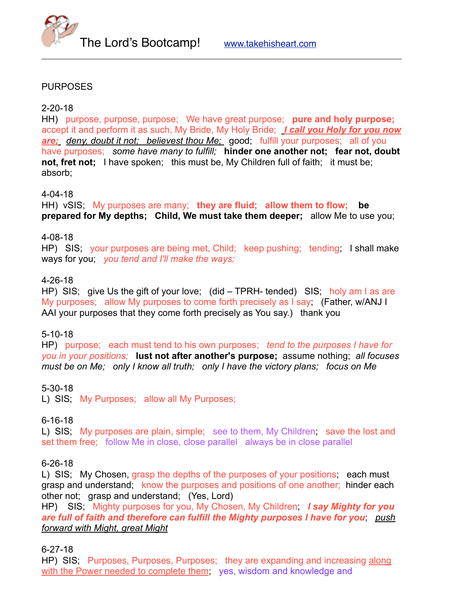



### PURPOSES

#### 2-20-18

HH) purpose, purpose, purpose; We have great purpose; **pure and holy purpose;** accept it and perform it as such, My Bride, My Holy Bride; *I call you Holy for you now are; deny, doubt it not; believest thou Me;* good; fulfill your purposes; all of you have purposes; *some have many to fulfill;* **hinder one another not; fear not, doubt not, fret not;** I have spoken; this must be, My Children full of faith; it must be; absorb;

#### 4-04-18

HH) vSIS; My purposes are many; **they are fluid; allow them to flow; be prepared for My depths; Child, We must take them deeper;** allow Me to use you;

### 4-08-18

HP) SIS; your purposes are being met, Child; keep pushing; tending; I shall make ways for you; *you tend and I'll make the ways;*

### 4-26-18

HP) SIS; give Us the gift of your love; (did – TPRH- tended) SIS; holy am I as are My purposes; allow My purposes to come forth precisely as I say; (Father, w/ANJ I AAI your purposes that they come forth precisely as You say.) thank you

### 5-10-18

HP) purpose; each must tend to his own purposes; *tend to the purposes I have for you in your positions;* **lust not after another's purpose;** assume nothing; *all focuses must be on Me; only I know all truth; only I have the victory plans; focus on Me*

### 5-30-18

L) SIS: My Purposes; allow all My Purposes;

### 6-16-18

L) SIS; My purposes are plain, simple; see to them, My Children; save the lost and set them free; follow Me in close, close parallel always be in close parallel

### 6-26-18

L) SIS; My Chosen, grasp the depths of the purposes of your positions; each must grasp and understand; know the purposes and positions of one another; hinder each other not; grasp and understand; (Yes, Lord)

HP) SIS; Mighty purposes for you, My Chosen, My Children; *I say Mighty for you are full of faith and therefore can fulfill the Mighty purposes I have for you*; *push forward with Might, great Might*

6-27-18

HP) SIS; Purposes, Purposes, Purposes; they are expanding and increasing along with the Power needed to complete them; yes, wisdom and knowledge and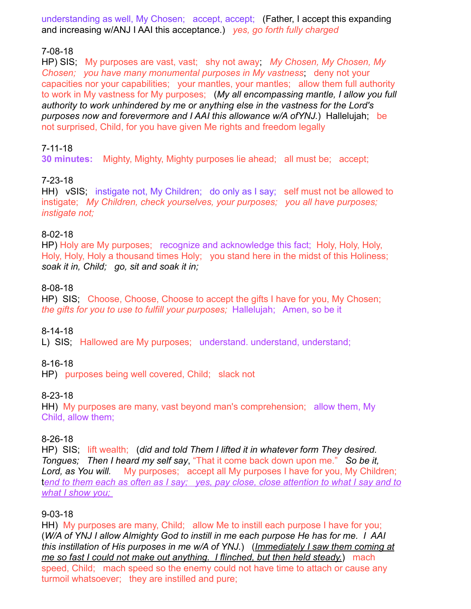understanding as well, My Chosen; accept, accept; (Father, I accept this expanding and increasing w/ANJ I AAI this acceptance.) *yes, go forth fully charged*

# 7-08-18

HP) SIS; My purposes are vast, vast; shy not away; *My Chosen, My Chosen, My Chosen; you have many monumental purposes in My vastness*; deny not your capacities nor your capabilities; your mantles, your mantles; allow them full authority to work in My vastness for My purposes; (*My all encompassing mantle, I allow you full authority to work unhindered by me or anything else in the vastness for the Lord's purposes now and forevermore and I AAI this allowance w/A ofYNJ.*) Hallelujah; be not surprised, Child, for you have given Me rights and freedom legally

### 7-11-18

**30 minutes:** Mighty, Mighty, Mighty purposes lie ahead; all must be; accept;

### 7-23-18

HH) vSIS; instigate not, My Children; do only as I say; self must not be allowed to instigate; *My Children, check yourselves, your purposes; you all have purposes; instigate not;* 

### 8-02-18

HP) Holy are My purposes; recognize and acknowledge this fact; Holy, Holy, Holy, Holy, Holy, Holy a thousand times Holy; you stand here in the midst of this Holiness; *soak it in, Child; go, sit and soak it in;* 

### 8-08-18

HP) SIS; Choose, Choose, Choose to accept the gifts I have for you, My Chosen; *the gifts for you to use to fulfill your purposes;* Hallelujah; Amen, so be it

# 8-14-18

L) SIS; Hallowed are My purposes; understand. understand, understand;

# 8-16-18

HP) purposes being well covered, Child; slack not

### 8-23-18

HH) My purposes are many, vast beyond man's comprehension; allow them, My Child, allow them;

### 8-26-18

HP) SIS; lift wealth; (*did and told Them I lifted it in whatever form They desired. Tongues; Then I heard my self say*, "That it come back down upon me." *So be it, Lord, as You will.* My purposes; accept all My purposes I have for you, My Children; t*end to them each as often as I say; yes, pay close, close attention to what I say and to what I show you;* 

### 9-03-18

HH) My purposes are many, Child; allow Me to instill each purpose I have for you; (*W/A of YNJ I allow Almighty God to instill in me each purpose He has for me. I AAI this instillation of His purposes in me w/A of YNJ.*) (*Immediately I saw them coming at me so fast I could not make out anything. I flinched, but then held steady.*) mach speed, Child; mach speed so the enemy could not have time to attach or cause any turmoil whatsoever; they are instilled and pure;